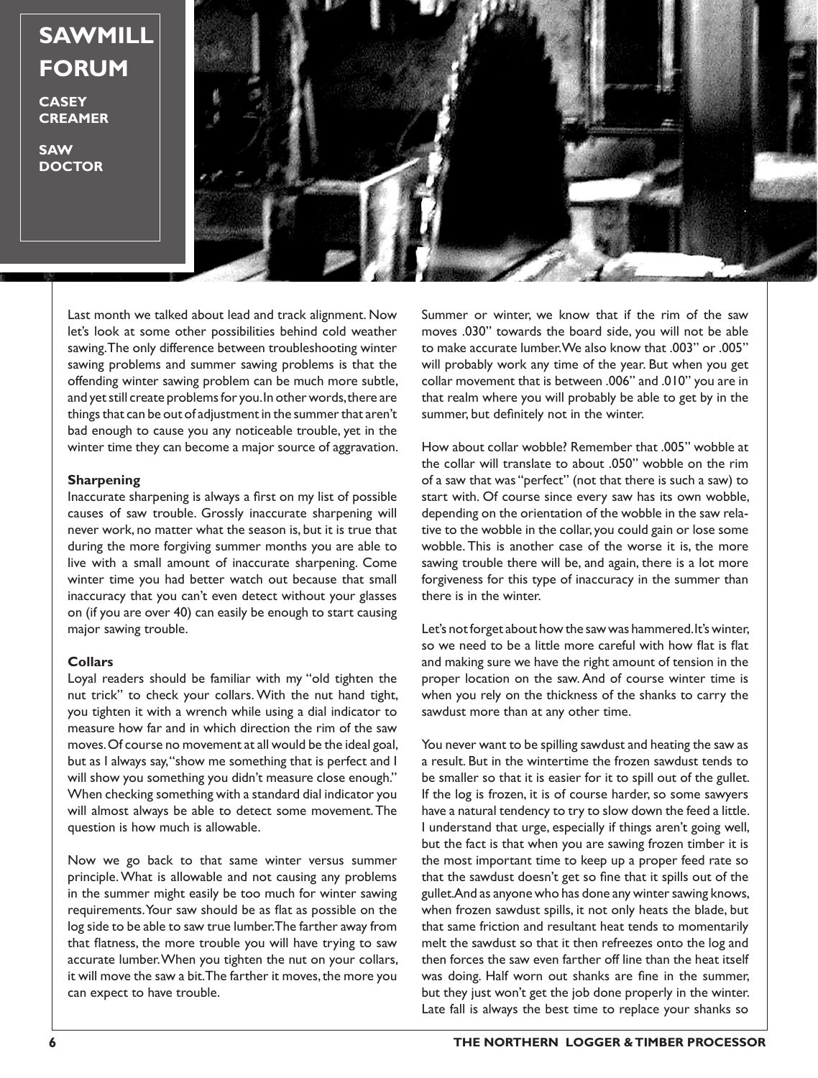**SAWMILL FORUM**

**CASEY CREAMER**

**SAW DOCTOR**



Last month we talked about lead and track alignment. Now let's look at some other possibilities behind cold weather sawing. The only difference between troubleshooting winter sawing problems and summer sawing problems is that the offending winter sawing problem can be much more subtle, and yet still create problems for you. In other words, there are things that can be out of adjustment in the summer that aren't bad enough to cause you any noticeable trouble, yet in the winter time they can become a major source of aggravation.

## **Sharpening**

Inaccurate sharpening is always a first on my list of possible causes of saw trouble. Grossly inaccurate sharpening will never work, no matter what the season is, but it is true that during the more forgiving summer months you are able to live with a small amount of inaccurate sharpening. Come winter time you had better watch out because that small inaccuracy that you can't even detect without your glasses on (if you are over 40) can easily be enough to start causing major sawing trouble.

## **Collars**

Loyal readers should be familiar with my "old tighten the nut trick" to check your collars. With the nut hand tight, you tighten it with a wrench while using a dial indicator to measure how far and in which direction the rim of the saw moves. Of course no movement at all would be the ideal goal, but as I always say, "show me something that is perfect and I will show you something you didn't measure close enough." When checking something with a standard dial indicator you will almost always be able to detect some movement. The question is how much is allowable.

Now we go back to that same winter versus summer principle. What is allowable and not causing any problems in the summer might easily be too much for winter sawing requirements. Your saw should be as flat as possible on the log side to be able to saw true lumber. The farther away from that flatness, the more trouble you will have trying to saw accurate lumber. When you tighten the nut on your collars, it will move the saw a bit. The farther it moves, the more you can expect to have trouble.

Summer or winter, we know that if the rim of the saw moves .030" towards the board side, you will not be able to make accurate lumber. We also know that .003" or .005" will probably work any time of the year. But when you get collar movement that is between .006" and .010" you are in that realm where you will probably be able to get by in the summer, but definitely not in the winter.

How about collar wobble? Remember that .005" wobble at the collar will translate to about .050" wobble on the rim of a saw that was "perfect" (not that there is such a saw) to start with. Of course since every saw has its own wobble, depending on the orientation of the wobble in the saw relative to the wobble in the collar, you could gain or lose some wobble. This is another case of the worse it is, the more sawing trouble there will be, and again, there is a lot more forgiveness for this type of inaccuracy in the summer than there is in the winter.

Let's not forget about how the saw was hammered. It's winter, so we need to be a little more careful with how flat is flat and making sure we have the right amount of tension in the proper location on the saw. And of course winter time is when you rely on the thickness of the shanks to carry the sawdust more than at any other time.

You never want to be spilling sawdust and heating the saw as a result. But in the wintertime the frozen sawdust tends to be smaller so that it is easier for it to spill out of the gullet. If the log is frozen, it is of course harder, so some sawyers have a natural tendency to try to slow down the feed a little. I understand that urge, especially if things aren't going well, but the fact is that when you are sawing frozen timber it is the most important time to keep up a proper feed rate so that the sawdust doesn't get so fine that it spills out of the gullet. And as anyone who has done any winter sawing knows, when frozen sawdust spills, it not only heats the blade, but that same friction and resultant heat tends to momentarily melt the sawdust so that it then refreezes onto the log and then forces the saw even farther off line than the heat itself was doing. Half worn out shanks are fine in the summer, but they just won't get the job done properly in the winter. Late fall is always the best time to replace your shanks so